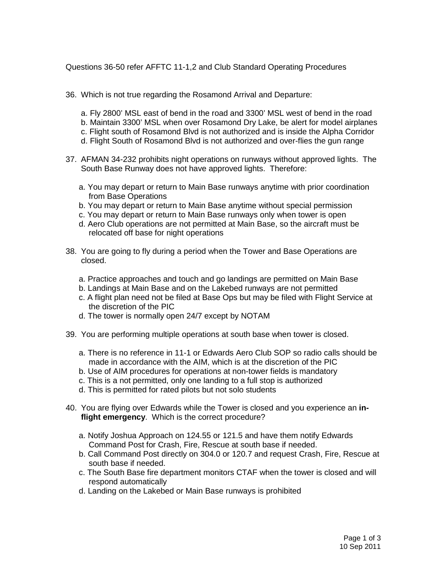Questions 36-50 refer AFFTC 11-1,2 and Club Standard Operating Procedures

- 36. Which is not true regarding the Rosamond Arrival and Departure:
	- a. Fly 2800' MSL east of bend in the road and 3300' MSL west of bend in the road b. Maintain 3300' MSL when over Rosamond Dry Lake, be alert for model airplanes c. Flight south of Rosamond Blvd is not authorized and is inside the Alpha Corridor d. Flight South of Rosamond Blvd is not authorized and over-flies the gun range
- 37. AFMAN 34-232 prohibits night operations on runways without approved lights. The South Base Runway does not have approved lights. Therefore:
	- a. You may depart or return to Main Base runways anytime with prior coordination from Base Operations
	- b. You may depart or return to Main Base anytime without special permission
	- c. You may depart or return to Main Base runways only when tower is open
	- d. Aero Club operations are not permitted at Main Base, so the aircraft must be relocated off base for night operations
- 38. You are going to fly during a period when the Tower and Base Operations are closed.
	- a. Practice approaches and touch and go landings are permitted on Main Base
	- b. Landings at Main Base and on the Lakebed runways are not permitted
	- c. A flight plan need not be filed at Base Ops but may be filed with Flight Service at the discretion of the PIC
	- d. The tower is normally open 24/7 except by NOTAM
- 39. You are performing multiple operations at south base when tower is closed.
	- a. There is no reference in 11-1 or Edwards Aero Club SOP so radio calls should be made in accordance with the AIM, which is at the discretion of the PIC
	- b. Use of AIM procedures for operations at non-tower fields is mandatory
	- c. This is a not permitted, only one landing to a full stop is authorized
	- d. This is permitted for rated pilots but not solo students
- 40. You are flying over Edwards while the Tower is closed and you experience an **inflight emergency**. Which is the correct procedure?
	- a. Notify Joshua Approach on 124.55 or 121.5 and have them notify Edwards Command Post for Crash, Fire, Rescue at south base if needed.
	- b. Call Command Post directly on 304.0 or 120.7 and request Crash, Fire, Rescue at south base if needed.
	- c. The South Base fire department monitors CTAF when the tower is closed and will respond automatically
	- d. Landing on the Lakebed or Main Base runways is prohibited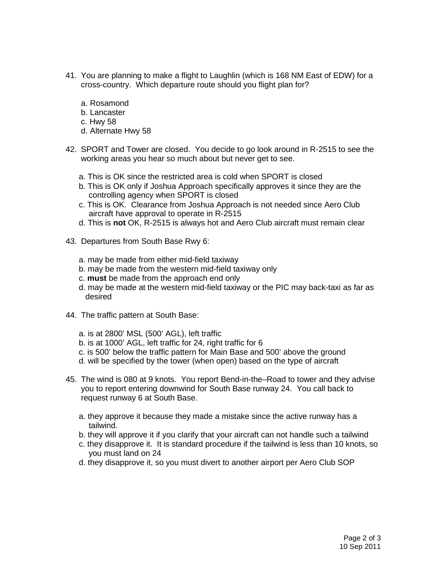- 41. You are planning to make a flight to Laughlin (which is 168 NM East of EDW) for a cross-country. Which departure route should you flight plan for?
	- a. Rosamond
	- b. Lancaster
	- c. Hwy 58
	- d. Alternate Hwy 58
- 42. SPORT and Tower are closed. You decide to go look around in R-2515 to see the working areas you hear so much about but never get to see.
	- a. This is OK since the restricted area is cold when SPORT is closed
	- b. This is OK only if Joshua Approach specifically approves it since they are the controlling agency when SPORT is closed
	- c. This is OK. Clearance from Joshua Approach is not needed since Aero Club aircraft have approval to operate in R-2515
	- d. This is **not** OK, R-2515 is always hot and Aero Club aircraft must remain clear
- 43. Departures from South Base Rwy 6:
	- a. may be made from either mid-field taxiway
	- b. may be made from the western mid-field taxiway only
	- c. **must** be made from the approach end only
	- d. may be made at the western mid-field taxiway or the PIC may back-taxi as far as desired
- 44. The traffic pattern at South Base:
	- a. is at 2800' MSL (500' AGL), left traffic
	- b. is at 1000' AGL, left traffic for 24, right traffic for 6
	- c. is 500' below the traffic pattern for Main Base and 500' above the ground
	- d. will be specified by the tower (when open) based on the type of aircraft
- 45. The wind is 080 at 9 knots. You report Bend-in-the–Road to tower and they advise you to report entering downwind for South Base runway 24. You call back to request runway 6 at South Base.
	- a. they approve it because they made a mistake since the active runway has a tailwind.
	- b. they will approve it if you clarify that your aircraft can not handle such a tailwind
	- c. they disapprove it. It is standard procedure if the tailwind is less than 10 knots, so you must land on 24
	- d. they disapprove it, so you must divert to another airport per Aero Club SOP